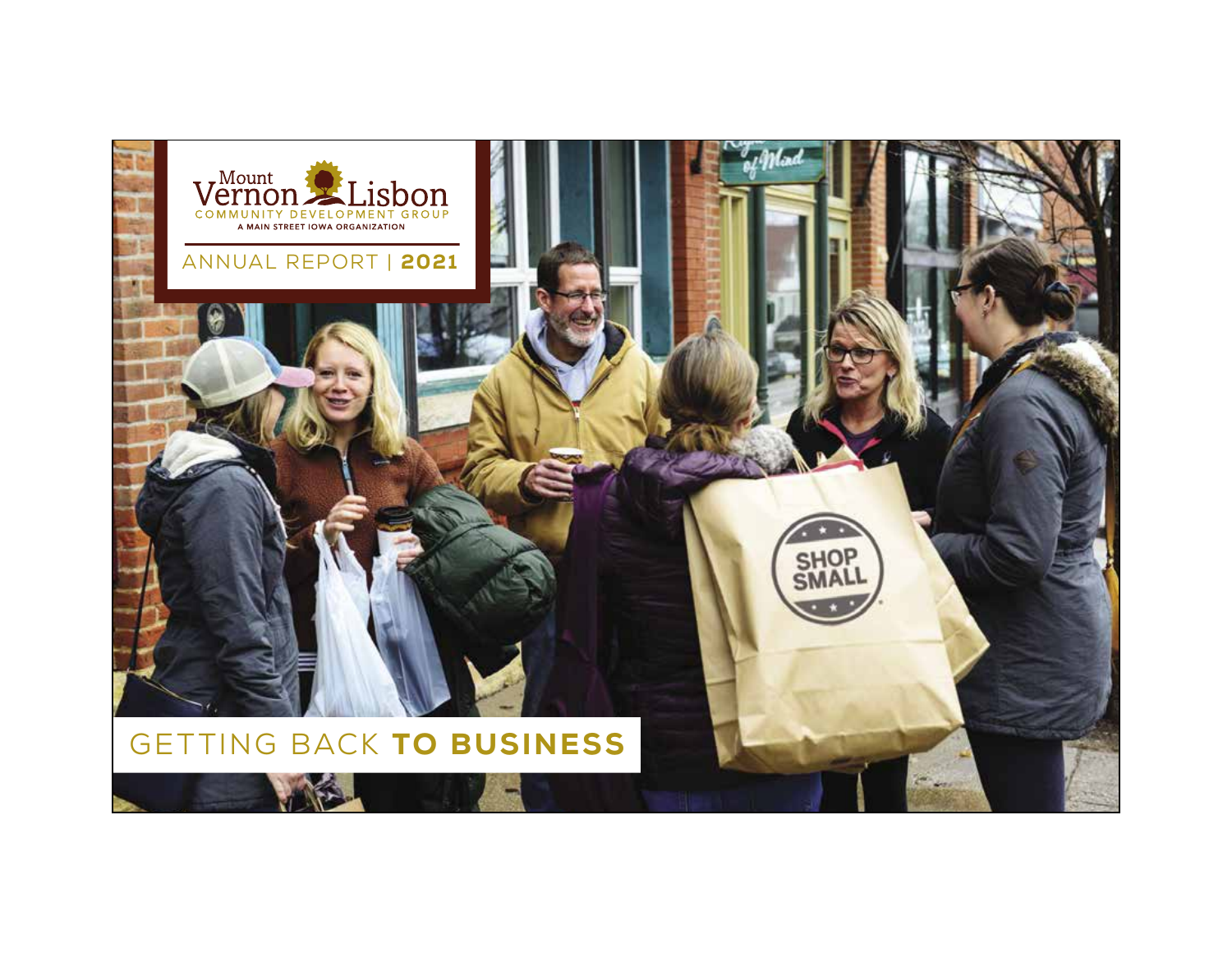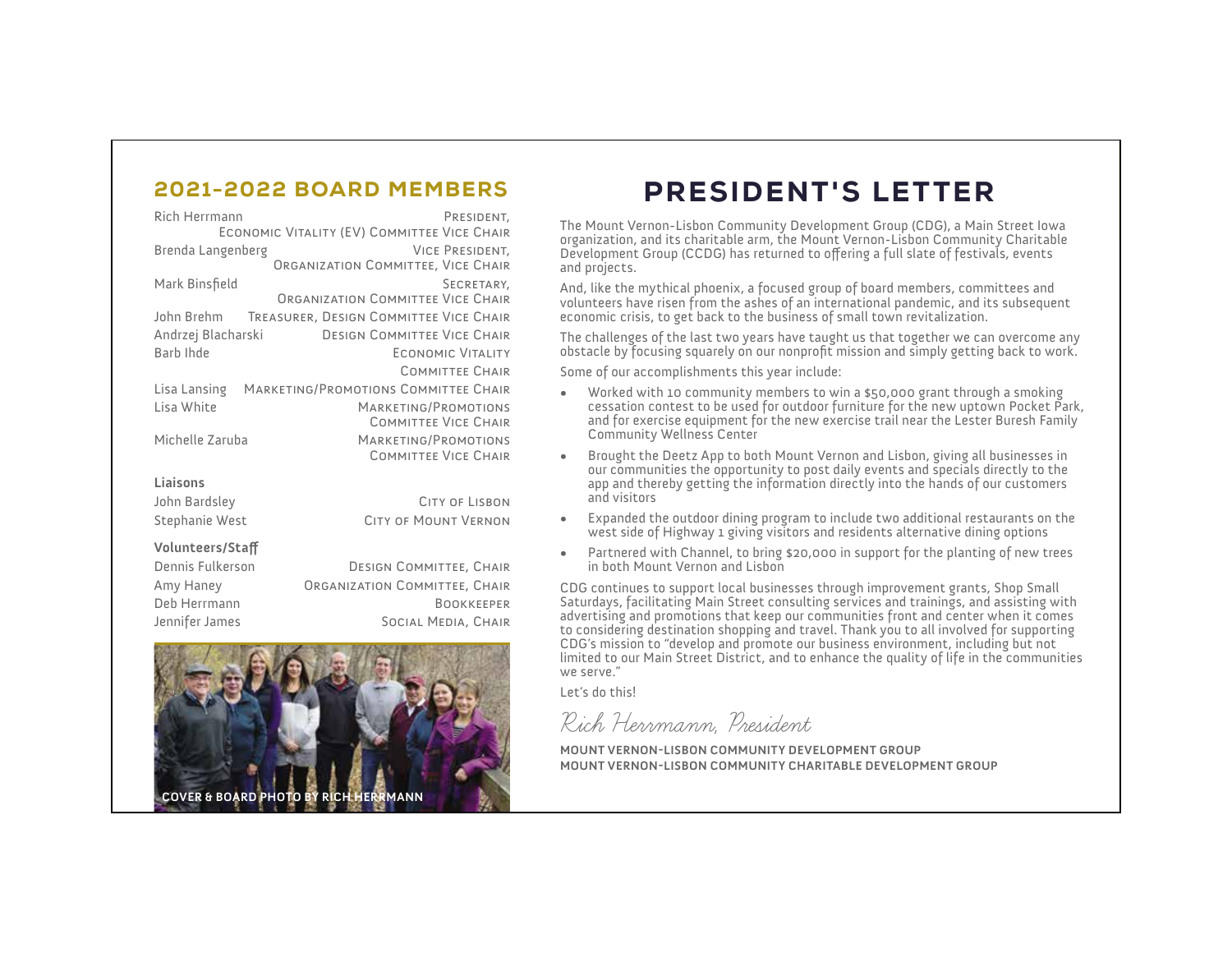### 2021-2022 BOARD MEMBERS

| Rich Herrmann                                            | PRESIDENT,                             |  |  |  |
|----------------------------------------------------------|----------------------------------------|--|--|--|
| ECONOMIC VITALITY (EV) COMMITTEE VICE CHAIR              |                                        |  |  |  |
| Brenda Langenberg<br><b>VICE PRESIDENT.</b>              |                                        |  |  |  |
|                                                          | ORGANIZATION COMMITTEE, VICE CHAIR     |  |  |  |
| Mark Binsfield                                           | SECRETARY,                             |  |  |  |
|                                                          | ORGANIZATION COMMITTEE VICE CHAIR      |  |  |  |
| John Brehm                                               | TREASURER, DESIGN COMMITTEE VICE CHAIR |  |  |  |
| Andrzej Blacharski<br><b>DESIGN COMMITTEE VICE CHAIR</b> |                                        |  |  |  |
| Barb Ihde<br>ECONOMIC VITALITY                           |                                        |  |  |  |
|                                                          | <b>COMMITTEE CHAIR</b>                 |  |  |  |
| Lisa Lansing                                             | MARKETING/PROMOTIONS COMMITTEE CHAIR   |  |  |  |
| Lisa White                                               | MARKETING/PROMOTIONS                   |  |  |  |
|                                                          | <b>COMMITTEE VICE CHAIR</b>            |  |  |  |
| Michelle Zaruba                                          | MARKETING/PROMOTIONS                   |  |  |  |
|                                                          | <b>COMMITTEE VICE CHAIR</b>            |  |  |  |
| Liaisons                                                 |                                        |  |  |  |
| John Bardsley                                            | CITY OF LISBON                         |  |  |  |
|                                                          |                                        |  |  |  |

Stephanie West CITY OF MOUNT VERNON

#### **Volunteers/Sta**

| Dennis Fulkerson | DESIGN COMMITTEE, CHAIR       |
|------------------|-------------------------------|
| Amy Haney        | ORGANIZATION COMMITTEE, CHAIR |
| Deb Herrmann     | <b>BOOKKEEPER</b>             |
| Jennifer James   | SOCIAL MEDIA, CHAIR           |



### PRESIDENT'S LETTER

The Mount Vernon-Lisbon Community Development Group (CDG), a Main Street Iowa organization, and its charitable arm, the Mount Vernon-Lisbon Community Charitable Development Group (CCDG) has returned to offering a full slate of festivals, events and projects.

And, like the mythical phoenix, a focused group of board members, committees and volunteers have risen from the ashes of an international pandemic, and its subsequent economic crisis, to get back to the business of small town revitalization.

The challenges of the last two years have taught us that together we can overcome any obstacle by focusing squarely on our nonprofit mission and simply getting back to work.

Some of our accomplishments this year include:

- Worked with 10 community members to win a \$50,000 grant through a smoking cessation contest to be used for outdoor furniture for the new uptown Pocket Park, and for exercise equipment for the new exercise trail near the Lester Buresh Family Community Wellness Center
- Brought the Deetz App to both Mount Vernon and Lisbon, giving all businesses in our communities the opportunity to post daily events and specials directly to the app and thereby getting the information directly into the hands of our customers and visitors
- Expanded the outdoor dining program to include two additional restaurants on the west side of Highway 1 giving visitors and residents alternative dining options
- Partnered with Channel, to bring \$20,000 in support for the planting of new trees in both Mount Vernon and Lisbon

CDG continues to support local businesses through improvement grants, Shop Small Saturdays, facilitating Main Street consulting services and trainings, and assisting with advertising and promotions that keep our communities front and center when it comes to considering destination shopping and travel. Thank you to all involved for supporting CDG's mission to "develop and promote our business environment, including but not limited to our Main Street District, and to enhance the quality of life in the communities we serve."

Let's do this!

Rich Herrmann, President

**MOUNT VERNON-LISBON COMMUNITY DEVELOPMENT GROUP MOUNT VERNON-LISBON COMMUNITY CHARITABLE DEVELOPMENT GROUP**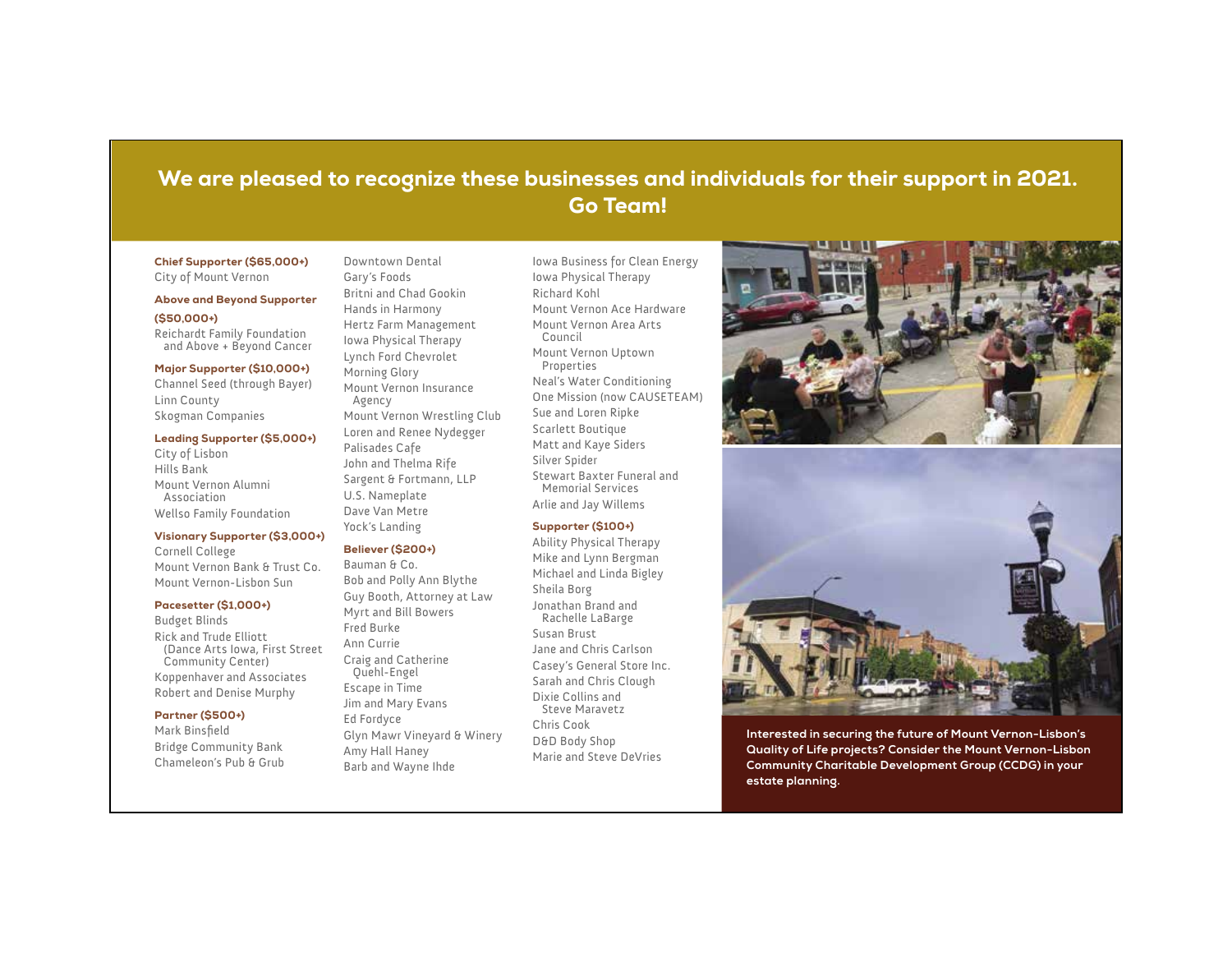### We are pleased to recognize these businesses and individuals for their support in 2021. Go Team!

#### Chief Supporter (\$65,000+) City of Mount Vernon

#### Above and Beyond Supporter

(\$50,000+) Reichardt Family Foundation

and Above + Beyond Cancer

#### Major Supporter (\$10,000+)

Channel Seed (through Bayer) Linn County Skogman Companies

#### Leading Supporter (\$5,000+)

City of Lisbon Hills Bank Mount Vernon Alumni Association Wellso Family Foundation

#### Visionary Supporter (\$3,000+)

Cornell College Mount Vernon Bank & Trust Co. Mount Vernon-Lisbon Sun

#### Pacesetter (\$1,000+)

Budget Blinds Rick and Trude Elliott (Dance Arts Iowa, First Street Community Center) Koppenhaver and Associates Robert and Denise Murphy

#### Partner (\$500+)

Mark Binsfield Bridge Community Bank Chameleon's Pub & Grub

Gary's Foods Britni and Chad Gookin Hands in Harmony Hertz Farm Management Iowa Physical Therapy Lynch Ford Chevrolet Morning Glory Mount Vernon Insurance Agency Mount Vernon Wrestling Club Loren and Renee Nydegger

Downtown Dental

Palisades Cafe John and Thelma Rife Sargent & Fortmann, LLP U.S. Nameplate Dave Van Metre Yock's Landing

#### Believer (\$200+)

Bauman & Co. Bob and Polly Ann Blythe Guy Booth, Attorney at Law Myrt and Bill Bowers Fred Burke Ann Currie Craig and Catherine Quehl-Engel Escape in Time Jim and Mary Evans Ed Fordyce Glyn Mawr Vineyard & Winery Amy Hall Haney Barb and Wayne Ihde

Iowa Business for Clean Energy Iowa Physical Therapy Richard Kohl Mount Vernon Ace Hardware Mount Vernon Area Arts Council Mount Vernon Uptown Properties Neal's Water Conditioning One Mission (now CAUSETEAM) Sue and Loren Ripke Scarlett Boutique Matt and Kaye Siders Silver Spider Stewart Baxter Funeral and Memorial Services Arlie and Jay Willems

#### Supporter (\$100+)

Ability Physical Therapy Mike and Lynn Bergman Michael and Linda Bigley Sheila Borg Jonathan Brand and Rachelle LaBarge Susan Brust Jane and Chris Carlson Casey's General Store Inc. Sarah and Chris Clough Dixie Collins and Steve Maravetz Chris Cook D&D Body Shop Marie and Steve DeVries





**Interested in securing the future of Mount Vernon-Lisbon's Quality of Life projects? Consider the Mount Vernon-Lisbon Community Charitable Development Group (CCDG) in your estate planning.**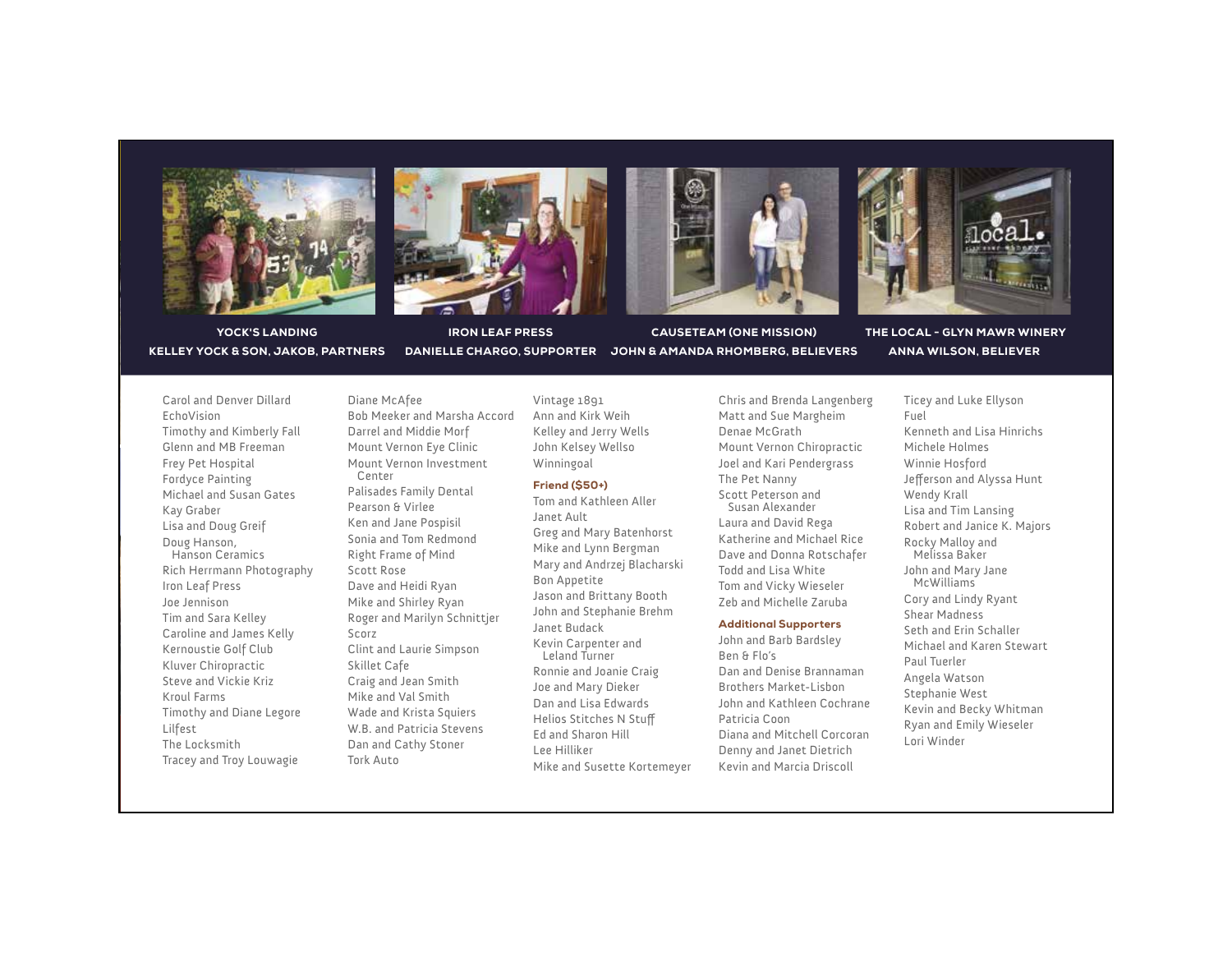







YOCK'S LANDING KELLEY YOCK & SON, JAKOB, PARTNERS

DANIELLE CHARGO, SUPPORTER JOHN & AMANDA RHOMBERG, BELIEVERS IRON LEAF PRESS

CAUSETEAM (ONE MISSION)

 THE LOCAL - GLYN MAWR WINERY ANNA WILSON, BELIEVER

Carol and Denver Dillard EchoVision Timothy and Kimberly Fall Glenn and MB Freeman Frey Pet Hospital Fordyce Painting Michael and Susan Gates Kay Graber Lisa and Doug Greif Doug Hanson, Hanson Ceramics Rich Herrmann Photography Iron Leaf Press Joe Jennison Tim and Sara Kelley Caroline and James Kelly Kernoustie Golf Club Kluver Chiropractic Steve and Vickie Kriz Kroul Farms Timothy and Diane Legore Lilfest The Locksmith Tracey and Troy Louwagie

Diane McAfee Bob Meeker and Marsha Accord Darrel and Middie Morf Mount Vernon Eye Clinic Mount Vernon Investment Center Palisades Family Dental Pearson & Virlee Ken and Jane Pospisil Sonia and Tom Redmond Right Frame of Mind Scott Rose Dave and Heidi Ryan Mike and Shirley Ryan Roger and Marilyn Schnittjer Scorz Clint and Laurie Simpson Skillet Cafe Craig and Jean Smith Mike and Val Smith Wade and Krista Squiers W.B. and Patricia Stevens Dan and Cathy Stoner Tork Auto

Vintage 1891 Ann and Kirk Weih Kelley and Jerry Wells John Kelsey Wellso Winningoal

#### Friend (\$50+)

Tom and Kathleen Aller Janet Ault Greg and Mary Batenhorst Mike and Lynn Bergman Mary and Andrzej Blacharski Bon Appetite Jason and Brittany Booth John and Stephanie Brehm Janet Budack Kevin Carpenter and Leland Turner Ronnie and Joanie Craig Joe and Mary Dieker Dan and Lisa Edwards Helios Stitches N Stu Ed and Sharon Hill Lee Hilliker Mike and Susette Kortemeyer Chris and Brenda Langenberg Matt and Sue Margheim Denae McGrath Mount Vernon Chiropractic Joel and Kari Pendergrass The Pet Nanny Scott Peterson and Susan Alexander Laura and David Rega Katherine and Michael Rice Dave and Donna Rotschafer Todd and Lisa White Tom and Vicky Wieseler Zeb and Michelle Zaruba

#### Additional Supporters

John and Barb Bardsley Ben & Flo's Dan and Denise Brannaman Brothers Market-Lisbon John and Kathleen Cochrane Patricia Coon Diana and Mitchell Corcoran Denny and Janet Dietrich Kevin and Marcia Driscoll

Ticey and Luke Ellyson Fuel Kenneth and Lisa Hinrichs Michele Holmes Winnie Hosford Jefferson and Alyssa Hunt Wendy Krall Lisa and Tim Lansing Robert and Janice K. Majors Rocky Malloy and Melissa Baker John and Mary Jane **McWilliams** Cory and Lindy Ryant Shear Madness Seth and Erin Schaller Michael and Karen Stewart Paul Tuerler Angela Watson Stephanie West Kevin and Becky Whitman Ryan and Emily Wieseler Lori Winder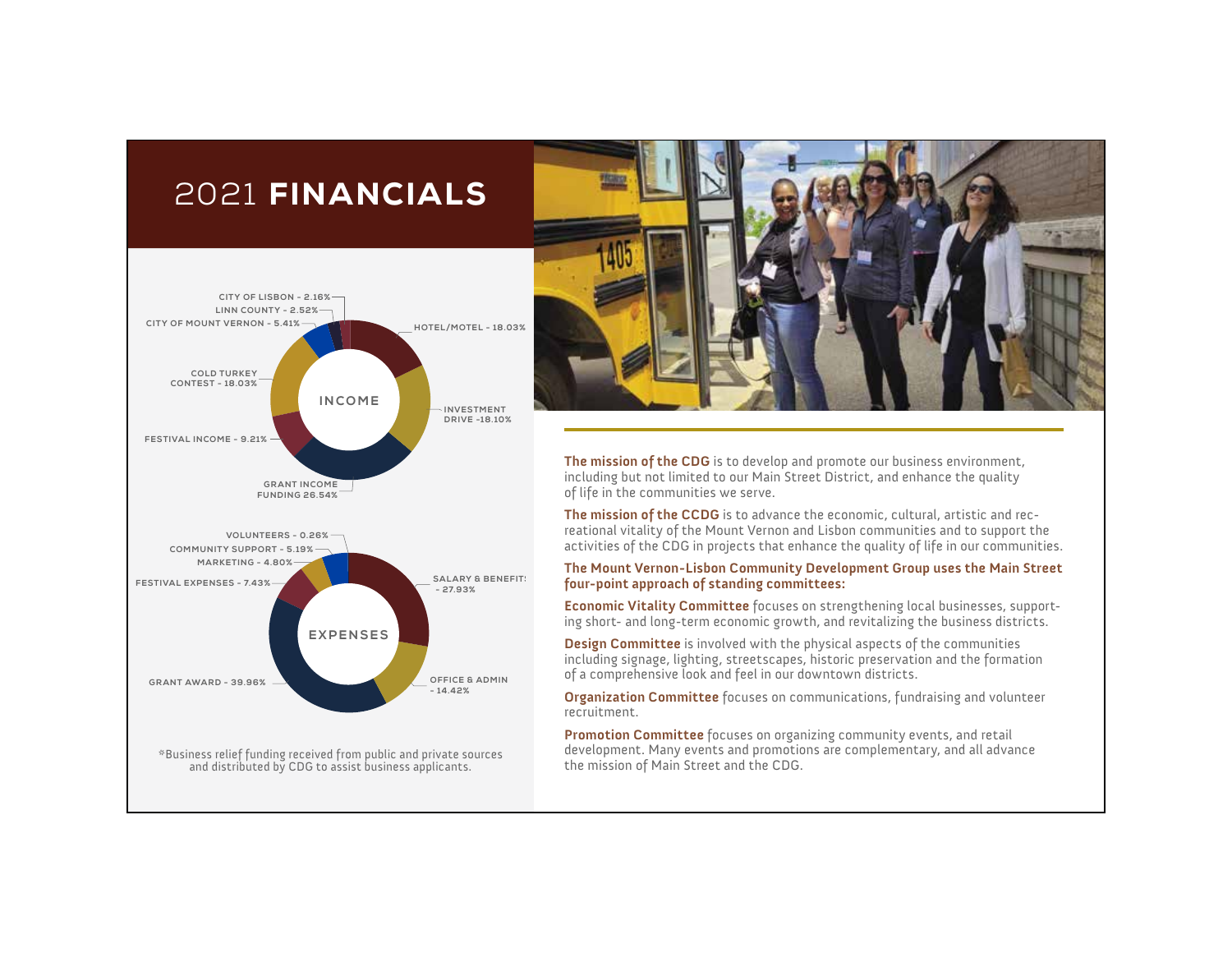## 2021 FINANCIALS





**The mission of the CDG** is to develop and promote our business environment, including but not limited to our Main Street District, and enhance the quality of life in the communities we serve.

**The mission of the CCDG** is to advance the economic, cultural, artistic and recreational vitality of the Mount Vernon and Lisbon communities and to support the activities of the CDG in projects that enhance the quality of life in our communities.

#### **The Mount Vernon-Lisbon Community Development Group uses the Main Street four-point approach of standing committees:**

**Economic Vitality Committee** focuses on strengthening local businesses, supporting short- and long-term economic growth, and revitalizing the business districts.

**Design Committee** is involved with the physical aspects of the communities including signage, lighting, streetscapes, historic preservation and the formation of a comprehensive look and feel in our downtown districts.

**Organization Committee** focuses on communications, fundraising and volunteer recruitment.

**Promotion Committee** focuses on organizing community events, and retail development. Many events and promotions are complementary, and all advance the mission of Main Street and the CDG.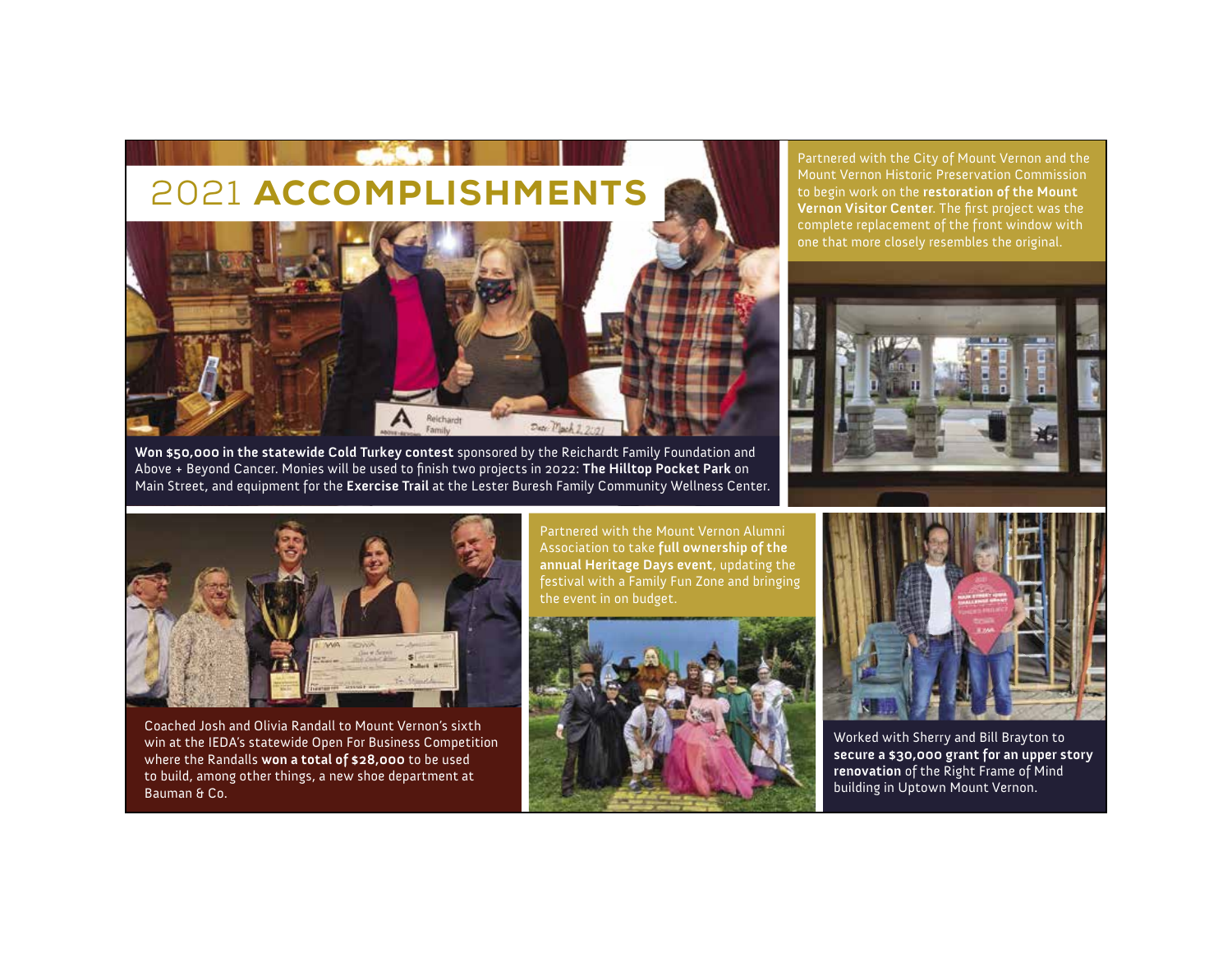

**Won \$50,000 in the statewide Cold Turkey contest** sponsored by the Reichardt Family Foundation and Above + Beyond Cancer. Monies will be used to finish two projects in 2022: The Hilltop Pocket Park on Main Street, and equipment for the **Exercise Trail** at the Lester Buresh Family Community Wellness Center.

Partnered with the City of Mount Vernon and the Mount Vernon Historic Preservation Commission to begin work on the **restoration of the Mount Vernon Visitor Center**. The first project was the complete replacement of the front window with one that more closely resembles the original.





Coached Josh and Olivia Randall to Mount Vernon's sixth win at the IEDA's statewide Open For Business Competition where the Randalls **won a total of \$28,000** to be used to build, among other things, a new shoe department at Bauman & Co.

Partnered with the Mount Vernon Alumni Association to take **full ownership of the annual Heritage Days event**, updating the festival with a Family Fun Zone and bringing the event in on budget.





Worked with Sherry and Bill Brayton to **secure a \$30,000 grant for an upper story renovation** of the Right Frame of Mind building in Uptown Mount Vernon.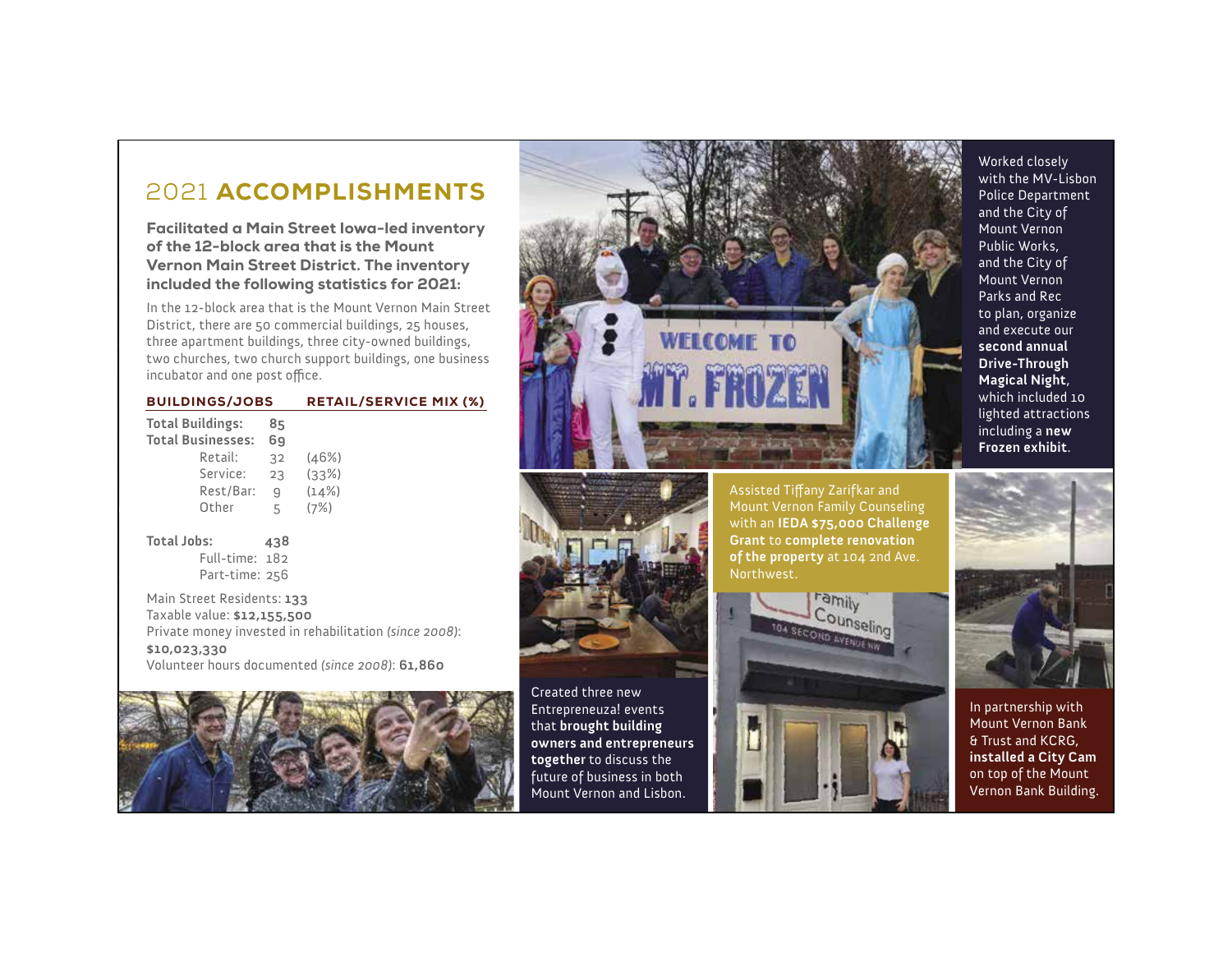### 2021 ACCOMPLISHMENTS

Facilitated a Main Street Iowa-led inventory of the 12-block area that is the Mount Vernon Main Street District. The inventory included the following statistics for 2021:

In the 12-block area that is the Mount Vernon Main Street District, there are 50 commercial buildings, 25 houses, three apartment buildings, three city-owned buildings, two churches, two church support buildings, one business incubator and one post office.

| <b>BUILDINGS/JOBS</b> | <b>RETAIL/SERVICE MIX (%)</b> |
|-----------------------|-------------------------------|
|                       |                               |

| Total Buildings: | <b>Total Businesses:</b> | 85<br>69     |       |
|------------------|--------------------------|--------------|-------|
|                  |                          |              |       |
|                  | Retail:                  | 32           | (46%) |
|                  | Service:                 | 23           | (33%) |
|                  | Rest/Bar:                | $\mathbf{q}$ | (14%) |
|                  | Other                    | 5            | (7%)  |
|                  |                          |              |       |
|                  |                          |              |       |

**Total Jobs: 438** Full-time: 182 Part-time: 256

Main Street Residents: **133** Taxable value: **\$12,155,500** Private money invested in rehabilitation *(since 2008)*: **\$10,023,330** Volunteer hours documented *(since 2008)*: **61,860**









Worked closely with the MV-Lisbon Police Department and the City of Mount Vernon Public Works, and the City of Mount Vernon Parks and Rec to plan, organize and execute our **second annual Drive-Through Magical Night**, which included 10 lighted attractions including a **new Frozen exhibit** .



In partnership with Mount Vernon Bank & Trust and KCRG, **installed a City Cam** on top of the Mount Vernon Bank Building.